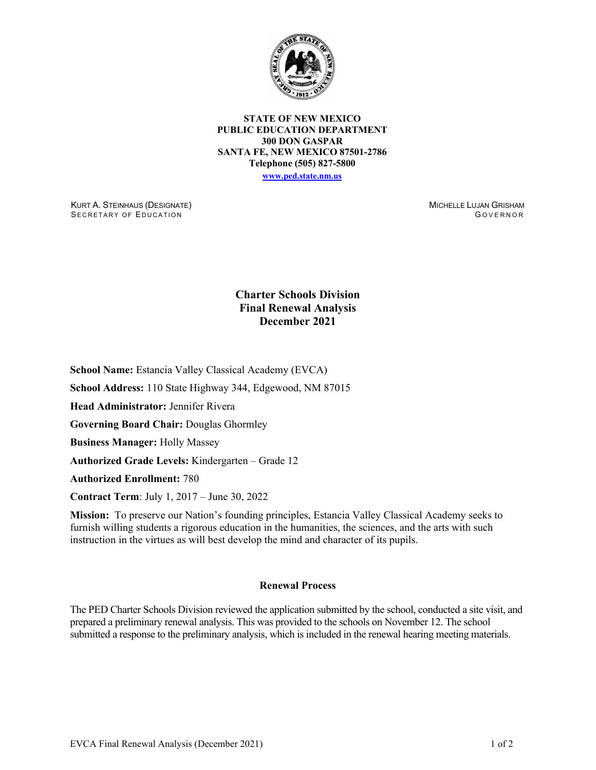

**STATE OF NEW MEXICO PUBLIC EDUCATION DEPARTMENT 300 DON GASPAR SANTA FE, NEW MEXICO 87501-2786 Telephone (505) 827-5800 [www.ped.state.nm.us](http://webnew.ped.state.nm.us/)**

KURT A. STEINHAUS (DESIGNATE) SECRETARY OF EDUCATION

MICHELLE LUJAN GRISHAM G OVERNOR

## **Charter Schools Division Final Renewal Analysis December 2021**

**School Name:** Estancia Valley Classical Academy (EVCA)

**School Address:** 110 State Highway 344, Edgewood, NM 87015

**Head Administrator:** Jennifer Rivera

**Governing Board Chair:** Douglas Ghormley

**Business Manager:** Holly Massey

**Authorized Grade Levels:** Kindergarten – Grade 12

**Authorized Enrollment:** 780

**Contract Term**: July 1, 2017 – June 30, 2022

**Mission:** To preserve our Nation's founding principles, Estancia Valley Classical Academy seeks to furnish willing students a rigorous education in the humanities, the sciences, and the arts with such instruction in the virtues as will best develop the mind and character of its pupils.

## **Renewal Process**

The PED Charter Schools Division reviewed the application submitted by the school, conducted a site visit, and prepared a preliminary renewal analysis. This was provided to the schools on November 12. The school submitted a response to the preliminary analysis, which is included in the renewal hearing meeting materials.